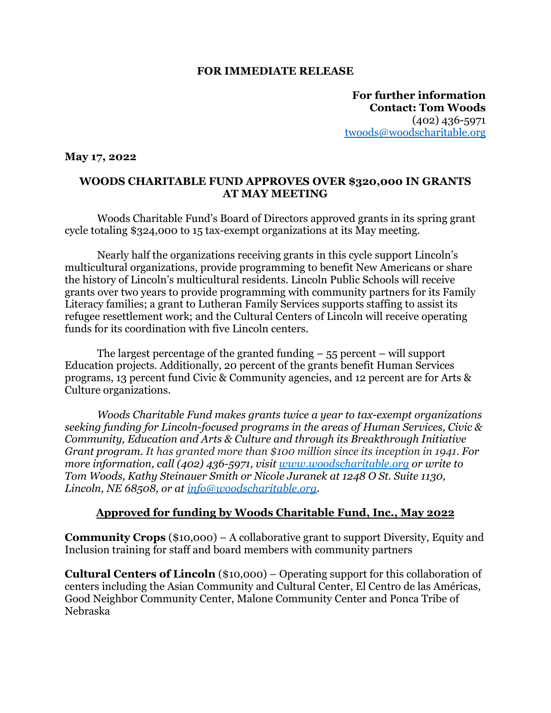## **FOR IMMEDIATE RELEASE**

**For further information Contact: Tom Woods** (402) 436-5971 [twoods@woodscharitable.org](mailto:twoods@woodscharitable.org)

## **May 17, 2022**

## **WOODS CHARITABLE FUND APPROVES OVER \$320,000 IN GRANTS AT MAY MEETING**

Woods Charitable Fund's Board of Directors approved grants in its spring grant cycle totaling \$324,000 to 15 tax-exempt organizations at its May meeting.

Nearly half the organizations receiving grants in this cycle support Lincoln's multicultural organizations, provide programming to benefit New Americans or share the history of Lincoln's multicultural residents. Lincoln Public Schools will receive grants over two years to provide programming with community partners for its Family Literacy families; a grant to Lutheran Family Services supports staffing to assist its refugee resettlement work; and the Cultural Centers of Lincoln will receive operating funds for its coordination with five Lincoln centers.

The largest percentage of the granted funding  $-55$  percent – will support Education projects. Additionally, 20 percent of the grants benefit Human Services programs, 13 percent fund Civic & Community agencies, and 12 percent are for Arts & Culture organizations.

*Woods Charitable Fund makes grants twice a year to tax-exempt organizations seeking funding for Lincoln-focused programs in the areas of Human Services, Civic & Community, Education and Arts & Culture and through its Breakthrough Initiative Grant program. It has granted more than \$100 million since its inception in 1941. For more information, call (402) 436-5971, visit [www.woodscharitable.org](http://www.woodscharitable.org) or write to Tom Woods, Kathy Steinauer Smith or Nicole Juranek at 1248 O St. Suite 1130, Lincoln, NE 68508, or at [info@woodscharitable.org](mailto:info@woodscharitable.org).*

## **Approved for funding by Woods Charitable Fund, Inc., May 2022**

**Community Crops** (\$10,000) – A collaborative grant to support Diversity, Equity and Inclusion training for staff and board members with community partners

**Cultural Centers of Lincoln** (\$10,000) – Operating support for this collaboration of centers including the Asian Community and Cultural Center, El Centro de las Américas, Good Neighbor Community Center, Malone Community Center and Ponca Tribe of Nebraska